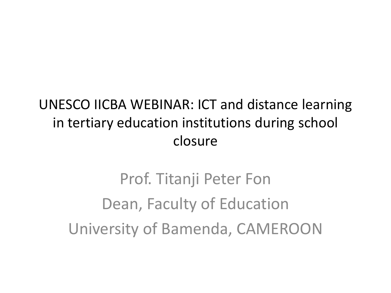### UNESCO IICBA WEBINAR: ICT and distance learning in tertiary education institutions during school closure

Prof. Titanji Peter Fon Dean, Faculty of Education University of Bamenda, CAMEROON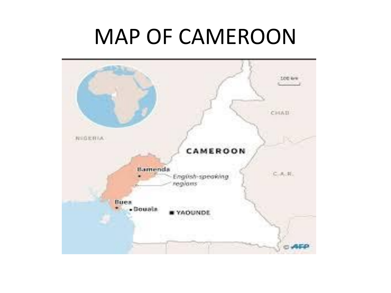### MAP OF CAMEROON

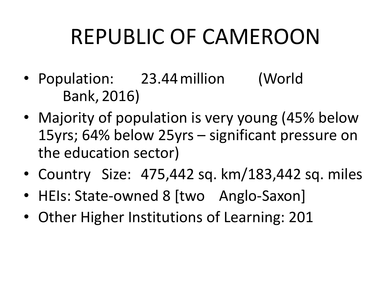# REPUBLIC OF CAMEROON

- Population: 23.44 million (World Bank, 2016)
- Majority of population is very young (45% below 15yrs; 64% below 25yrs – significant pressure on the education sector)
- Country Size: 475,442 sq. km/183,442 sq. miles
- HEIs: State-owned 8 [two Anglo-Saxon]
- Other Higher Institutions of Learning: 201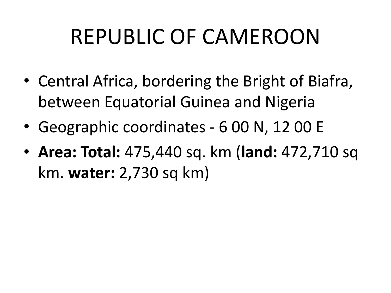# REPUBLIC OF CAMEROON

- Central Africa, bordering the Bright of Biafra, between Equatorial Guinea and Nigeria
- Geographic coordinates 6 00 N, 12 00 E
- **Area: Total:** 475,440 sq. km (**land:** 472,710 sq km. **water:** 2,730 sq km)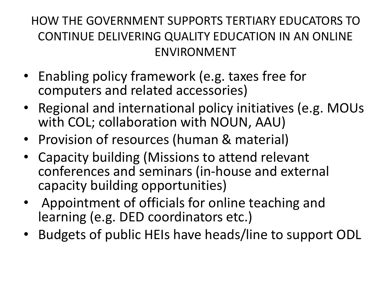#### HOW THE GOVERNMENT SUPPORTS TERTIARY EDUCATORS TO CONTINUE DELIVERING QUALITY EDUCATION IN AN ONLINE ENVIRONMENT

- Enabling policy framework (e.g. taxes free for computers and related accessories)
- Regional and international policy initiatives (e.g. MOUs with COL; collaboration with NOUN, AAU)
- Provision of resources (human & material)
- Capacity building (Missions to attend relevant conferences and seminars (in-house and external capacity building opportunities)
- Appointment of officials for online teaching and learning (e.g. DED coordinators etc.)
- Budgets of public HEIs have heads/line to support ODL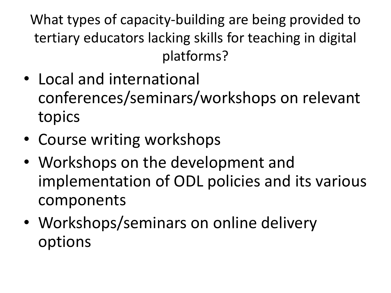What types of capacity-building are being provided to tertiary educators lacking skills for teaching in digital platforms?

- Local and international conferences/seminars/workshops on relevant topics
- Course writing workshops
- Workshops on the development and implementation of ODL policies and its various components
- Workshops/seminars on online delivery options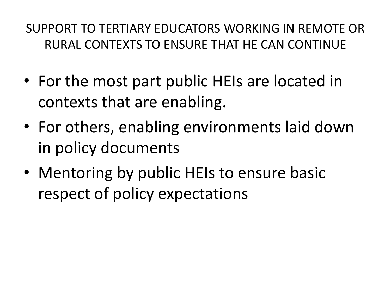#### SUPPORT TO TERTIARY EDUCATORS WORKING IN REMOTE OR RURAL CONTEXTS TO ENSURE THAT HE CAN CONTINUE

- For the most part public HEIs are located in contexts that are enabling.
- For others, enabling environments laid down in policy documents
- Mentoring by public HEIs to ensure basic respect of policy expectations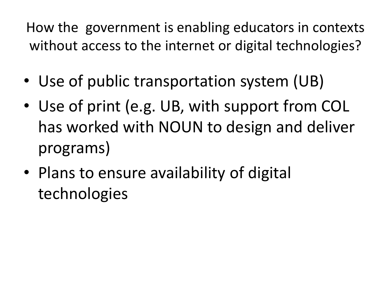How the government is enabling educators in contexts without access to the internet or digital technologies?

- Use of public transportation system (UB)
- Use of print (e.g. UB, with support from COL has worked with NOUN to design and deliver programs)
- Plans to ensure availability of digital technologies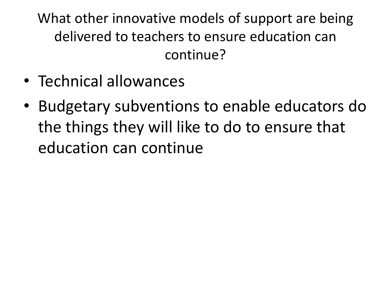What other innovative models of support are being delivered to teachers to ensure education can continue?

- Technical allowances
- Budgetary subventions to enable educators do the things they will like to do to ensure that education can continue